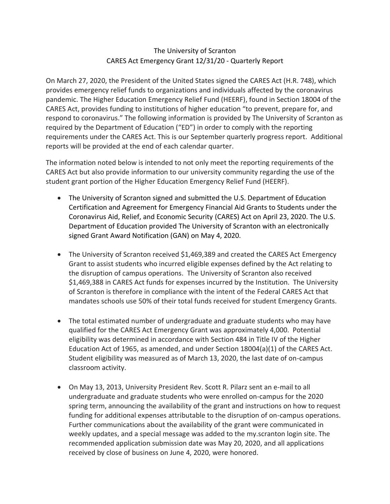## The University of Scranton CARES Act Emergency Grant 12/31/20 - Quarterly Report

On March 27, 2020, the President of the United States signed the CARES Act (H.R. 748), which provides emergency relief funds to organizations and individuals affected by the coronavirus pandemic. The Higher Education Emergency Relief Fund (HEERF), found in Section 18004 of the CARES Act, provides funding to institutions of higher education "to prevent, prepare for, and respond to coronavirus." The following information is provided by The University of Scranton as required by the Department of Education ("ED") in order to comply with the reporting requirements under the CARES Act. This is our September quarterly progress report. Additional reports will be provided at the end of each calendar quarter.

The information noted below is intended to not only meet the reporting requirements of the CARES Act but also provide information to our university community regarding the use of the student grant portion of the Higher Education Emergency Relief Fund (HEERF).

- The University of Scranton signed and submitted the U.S. Department of Education Certification and Agreement for Emergency Financial Aid Grants to Students under the Coronavirus Aid, Relief, and Economic Security (CARES) Act on April 23, 2020. The U.S. Department of Education provided The University of Scranton with an electronically signed Grant Award Notification (GAN) on May 4, 2020.
- The University of Scranton received \$1,469,389 and created the CARES Act Emergency Grant to assist students who incurred eligible expenses defined by the Act relating to the disruption of campus operations. The University of Scranton also received \$1,469,388 in CARES Act funds for expenses incurred by the Institution. The University of Scranton is therefore in compliance with the intent of the Federal CARES Act that mandates schools use 50% of their total funds received for student Emergency Grants.
- The total estimated number of undergraduate and graduate students who may have qualified for the CARES Act Emergency Grant was approximately 4,000. Potential eligibility was determined in accordance with Section 484 in Title IV of the Higher Education Act of 1965, as amended, and under Section 18004(a)(1) of the CARES Act. Student eligibility was measured as of March 13, 2020, the last date of on-campus classroom activity.
- On May 13, 2013, University President Rev. Scott R. Pilarz sent an e-mail to all undergraduate and graduate students who were enrolled on-campus for the 2020 spring term, announcing the availability of the grant and instructions on how to request funding for additional expenses attributable to the disruption of on-campus operations. Further communications about the availability of the grant were communicated in weekly updates, and a special message was added to the my.scranton login site. The recommended application submission date was May 20, 2020, and all applications received by close of business on June 4, 2020, were honored.